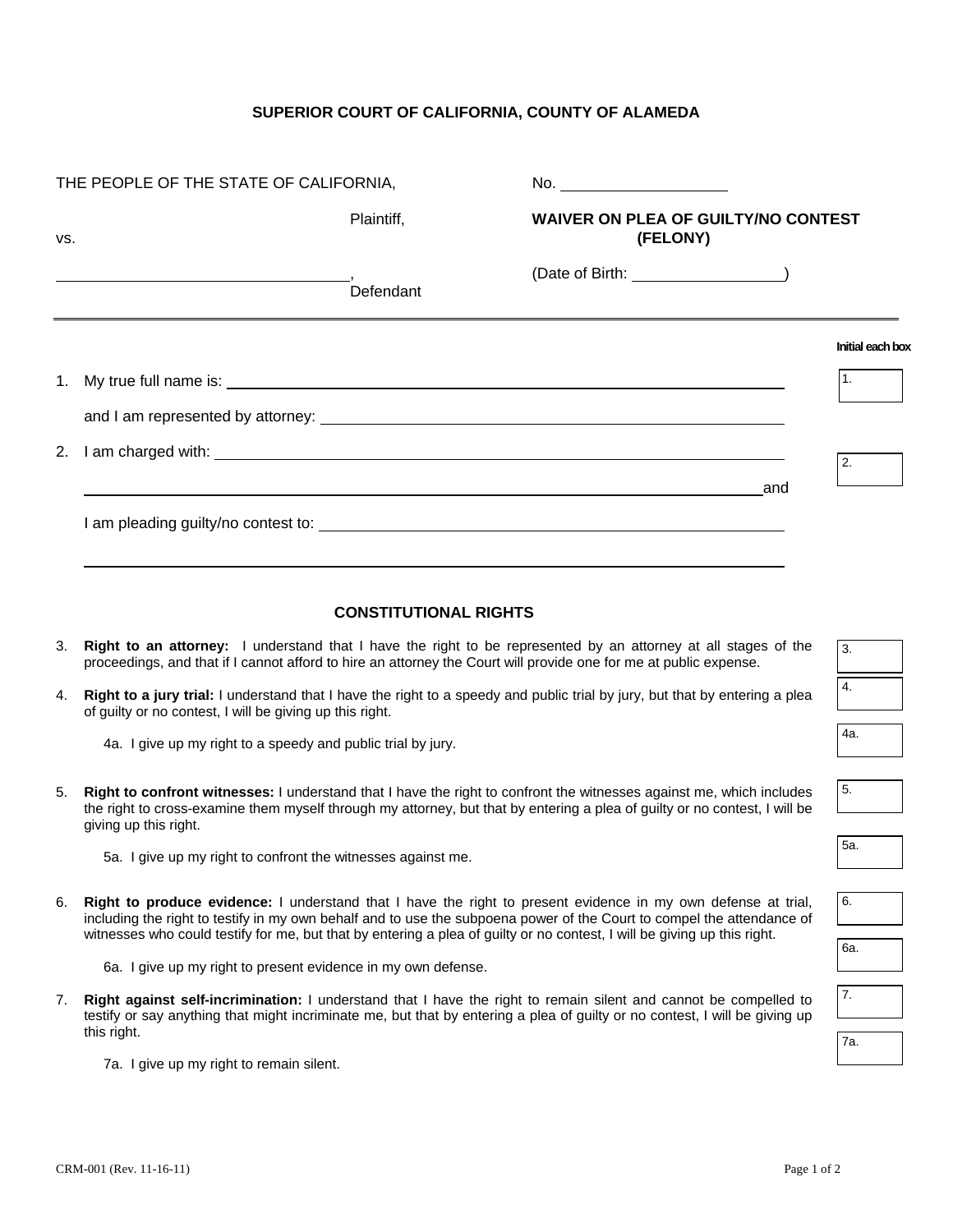## **SUPERIOR COURT OF CALIFORNIA, COUNTY OF ALAMEDA**

| VS. |                                                                                                                                                                                                                                                                                                                                                                     |                              | <b>WAIVER ON PLEA OF GUILTY/NO CONTEST</b>                                 |                  |  |
|-----|---------------------------------------------------------------------------------------------------------------------------------------------------------------------------------------------------------------------------------------------------------------------------------------------------------------------------------------------------------------------|------------------------------|----------------------------------------------------------------------------|------------------|--|
|     | Plaintiff,                                                                                                                                                                                                                                                                                                                                                          |                              | (FELONY)                                                                   |                  |  |
|     |                                                                                                                                                                                                                                                                                                                                                                     | Defendant                    | (Date of Birth: _______________________)                                   |                  |  |
|     |                                                                                                                                                                                                                                                                                                                                                                     |                              |                                                                            | Initial each box |  |
| 1.  |                                                                                                                                                                                                                                                                                                                                                                     |                              |                                                                            | 1.               |  |
|     |                                                                                                                                                                                                                                                                                                                                                                     |                              |                                                                            |                  |  |
| 2.  |                                                                                                                                                                                                                                                                                                                                                                     |                              |                                                                            | 2.               |  |
|     |                                                                                                                                                                                                                                                                                                                                                                     |                              | and<br><u> 1989 - Andrea Stadt Britain, amerikansk politiker (d. 1989)</u> |                  |  |
|     |                                                                                                                                                                                                                                                                                                                                                                     |                              |                                                                            |                  |  |
|     |                                                                                                                                                                                                                                                                                                                                                                     |                              |                                                                            |                  |  |
|     |                                                                                                                                                                                                                                                                                                                                                                     | <b>CONSTITUTIONAL RIGHTS</b> |                                                                            |                  |  |
| 3.  | Right to an attorney: I understand that I have the right to be represented by an attorney at all stages of the<br>proceedings, and that if I cannot afford to hire an attorney the Court will provide one for me at public expense.                                                                                                                                 |                              |                                                                            |                  |  |
| 4.  | Right to a jury trial: I understand that I have the right to a speedy and public trial by jury, but that by entering a plea<br>of guilty or no contest, I will be giving up this right.                                                                                                                                                                             |                              |                                                                            | 4.               |  |
|     | 4a. I give up my right to a speedy and public trial by jury.                                                                                                                                                                                                                                                                                                        |                              |                                                                            | 4a.              |  |
| 5.  | Right to confront witnesses: I understand that I have the right to confront the witnesses against me, which includes<br>the right to cross-examine them myself through my attorney, but that by entering a plea of guilty or no contest, I will be<br>giving up this right.                                                                                         |                              |                                                                            | 5.               |  |
|     | 5a. I give up my right to confront the witnesses against me.                                                                                                                                                                                                                                                                                                        |                              |                                                                            | 5a.              |  |
| 6.  | Right to produce evidence: I understand that I have the right to present evidence in my own defense at trial,<br>including the right to testify in my own behalf and to use the subpoena power of the Court to compel the attendance of<br>witnesses who could testify for me, but that by entering a plea of guilty or no contest, I will be giving up this right. |                              |                                                                            |                  |  |
|     |                                                                                                                                                                                                                                                                                                                                                                     |                              |                                                                            |                  |  |
|     | 6a. I give up my right to present evidence in my own defense.                                                                                                                                                                                                                                                                                                       |                              |                                                                            |                  |  |
| 7.  | Right against self-incrimination: I understand that I have the right to remain silent and cannot be compelled to<br>testify or say anything that might incriminate me, but that by entering a plea of guilty or no contest, I will be giving up                                                                                                                     |                              |                                                                            | 7.               |  |
|     | this right.<br>7a. I give up my right to remain silent.                                                                                                                                                                                                                                                                                                             |                              |                                                                            | 7a.              |  |